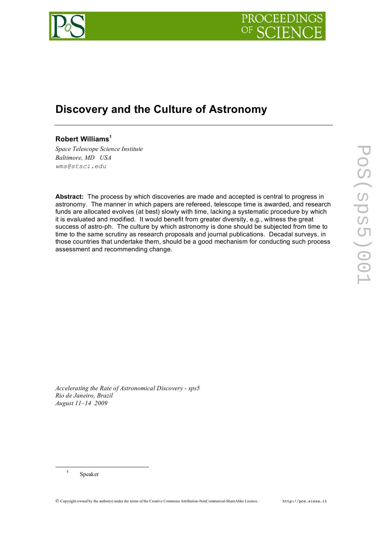

## **Discovery and the Culture of Astronomy**

## **Robert Williams<sup>1</sup>**

*Space Telescope Science Institute Baltimore, MD USA wms@stsci.edu*

**Abstract:** The process by which discoveries are made and accepted is central to progress in astronomy. The manner in which papers are refereed, telescope time is awarded, and research funds are allocated evolves (at best) slowly with time, lacking a systematic procedure by which it is evaluated and modified. It would benefit from greater diversity, e.g., witness the great success of astro-ph. The culture by which astronomy is done should be subjected from time to time to the same scrutiny as research proposals and journal publications. Decadal surveys, in those countries that undertake them, should be a good mechanism for conducting such process assessment and recommending change.

*Accelerating the Rate of Astronomical Discovery - sps5 Rio de Janeiro, Brazil August 11–14 2009*

<sup>1</sup> Speaker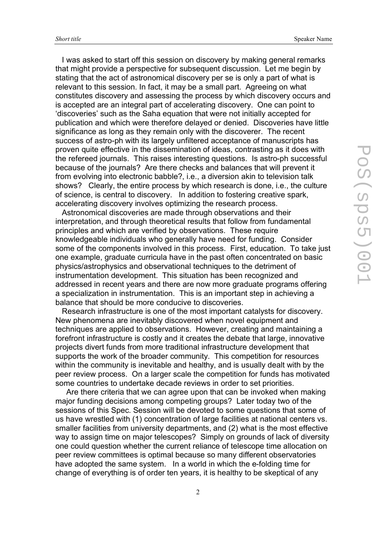I was asked to start off this session on discovery by making general remarks that might provide a perspective for subsequent discussion. Let me begin by stating that the act of astronomical discovery per se is only a part of what is relevant to this session. In fact, it may be a small part. Agreeing on what constitutes discovery and assessing the process by which discovery occurs and is accepted are an integral part of accelerating discovery. One can point to 'discoveries' such as the Saha equation that were not initially accepted for publication and which were therefore delayed or denied. Discoveries have little significance as long as they remain only with the discoverer. The recent success of astro-ph with its largely unfiltered acceptance of manuscripts has proven quite effective in the dissemination of ideas, contrasting as it does with the refereed journals. This raises interesting questions. Is astro-ph successful because of the journals? Are there checks and balances that will prevent it from evolving into electronic babble?, i.e., a diversion akin to television talk shows? Clearly, the entire process by which research is done, i.e., the culture of science, is central to discovery. In addition to fostering creative spark, accelerating discovery involves optimizing the research process.

 Astronomical discoveries are made through observations and their interpretation, and through theoretical results that follow from fundamental principles and which are verified by observations. These require knowledgeable individuals who generally have need for funding. Consider some of the components involved in this process. First, education. To take just one example, graduate curricula have in the past often concentrated on basic physics/astrophysics and observational techniques to the detriment of instrumentation development. This situation has been recognized and addressed in recent years and there are now more graduate programs offering a specialization in instrumentation. This is an important step in achieving a balance that should be more conducive to discoveries.

 Research infrastructure is one of the most important catalysts for discovery. New phenomena are inevitably discovered when novel equipment and techniques are applied to observations. However, creating and maintaining a forefront infrastructure is costly and it creates the debate that large, innovative projects divert funds from more traditional infrastructure development that supports the work of the broader community. This competition for resources within the community is inevitable and healthy, and is usually dealt with by the peer review process. On a larger scale the competition for funds has motivated some countries to undertake decade reviews in order to set priorities.

 Are there criteria that we can agree upon that can be invoked when making major funding decisions among competing groups? Later today two of the sessions of this Spec. Session will be devoted to some questions that some of us have wrestled with (1) concentration of large facilities at national centers vs. smaller facilities from university departments, and (2) what is the most effective way to assign time on major telescopes? Simply on grounds of lack of diversity one could question whether the current reliance of telescope time allocation on peer review committees is optimal because so many different observatories have adopted the same system. In a world in which the e-folding time for change of everything is of order ten years, it is healthy to be skeptical of any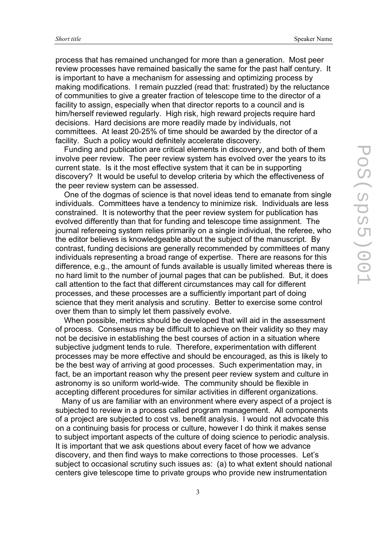process that has remained unchanged for more than a generation. Most peer review processes have remained basically the same for the past half century. It is important to have a mechanism for assessing and optimizing process by making modifications. I remain puzzled (read that: frustrated) by the reluctance of communities to give a greater fraction of telescope time to the director of a facility to assign, especially when that director reports to a council and is him/herself reviewed regularly. High risk, high reward projects require hard decisions. Hard decisions are more readily made by individuals, not committees. At least 20-25% of time should be awarded by the director of a facility. Such a policy would definitely accelerate discovery.

 Funding and publication are critical elements in discovery, and both of them involve peer review. The peer review system has evolved over the years to its current state. Is it the most effective system that it can be in supporting discovery? It would be useful to develop criteria by which the effectiveness of the peer review system can be assessed.

 One of the dogmas of science is that novel ideas tend to emanate from single individuals. Committees have a tendency to minimize risk. Individuals are less constrained. It is noteworthy that the peer review system for publication has evolved differently than that for funding and telescope time assignment. The journal refereeing system relies primarily on a single individual, the referee, who the editor believes is knowledgeable about the subject of the manuscript. By contrast, funding decisions are generally recommended by committees of many individuals representing a broad range of expertise. There are reasons for this difference, e.g., the amount of funds available is usually limited whereas there is no hard limit to the number of journal pages that can be published. But, it does call attention to the fact that different circumstances may call for different processes, and these processes are a sufficiently important part of doing science that they merit analysis and scrutiny. Better to exercise some control over them than to simply let them passively evolve.

 When possible, metrics should be developed that will aid in the assessment of process. Consensus may be difficult to achieve on their validity so they may not be decisive in establishing the best courses of action in a situation where subjective judgment tends to rule. Therefore, experimentation with different processes may be more effective and should be encouraged, as this is likely to be the best way of arriving at good processes. Such experimentation may, in fact, be an important reason why the present peer review system and culture in astronomy is so uniform world-wide. The community should be flexible in accepting different procedures for similar activities in different organizations.

 Many of us are familiar with an environment where every aspect of a project is subjected to review in a process called program management. All components of a project are subjected to cost vs. benefit analysis. I would not advocate this on a continuing basis for process or culture, however I do think it makes sense to subject important aspects of the culture of doing science to periodic analysis. It is important that we ask questions about every facet of how we advance discovery, and then find ways to make corrections to those processes. Let's subject to occasional scrutiny such issues as: (a) to what extent should national centers give telescope time to private groups who provide new instrumentation